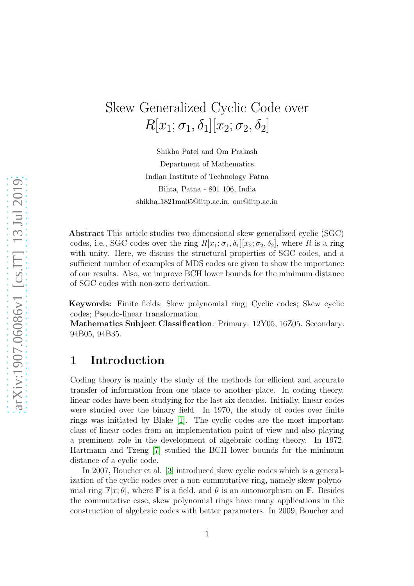# Skew Generalized Cyclic Code over  $R[x_1;\sigma_1,\delta_1][x_2;\sigma_2,\delta_2]$

Shikha Patel and Om Prakash Department of Mathematics Indian Institute of Technology Patna Bihta, Patna - 801 106, India shikha 1821ma05@iitp.ac.in, om@iitp.ac.in

Abstract This article studies two dimensional skew generalized cyclic (SGC) codes, i.e., SGC codes over the ring  $R[x_1;\sigma_1,\delta_1][x_2;\sigma_2,\delta_2]$ , where R is a ring with unity. Here, we discuss the structural properties of SGC codes, and a sufficient number of examples of MDS codes are given to show the importance of our results. Also, we improve BCH lower bounds for the minimum distance of SGC codes with non-zero derivation.

Keywords: Finite fields; Skew polynomial ring; Cyclic codes; Skew cyclic codes; Pseudo-linear transformation.

Mathematics Subject Classification: Primary: 12Y05, 16Z05. Secondary: 94B05, 94B35.

### 1 Introduction

Coding theory is mainly the study of the methods for efficient and accurate transfer of information from one place to another place. In coding theory, linear codes have been studying for the last six decades. Initially, linear codes were studied over the binary field. In 1970, the study of codes over finite rings was initiated by Blake [\[1\]](#page-15-0). The cyclic codes are the most important class of linear codes from an implementation point of view and also playing a preminent role in the development of algebraic coding theory. In 1972, Hartmann and Tzeng [\[7\]](#page-16-0) studied the BCH lower bounds for the minimum distance of a cyclic code.

In 2007, Boucher et al. [\[3\]](#page-16-1) introduced skew cyclic codes which is a generalization of the cyclic codes over a non-commutative ring, namely skew polynomial ring  $\mathbb{F}[x;\theta]$ , where  $\mathbb F$  is a field, and  $\theta$  is an automorphism on  $\mathbb F$ . Besides the commutative case, skew polynomial rings have many applications in the construction of algebraic codes with better parameters. In 2009, Boucher and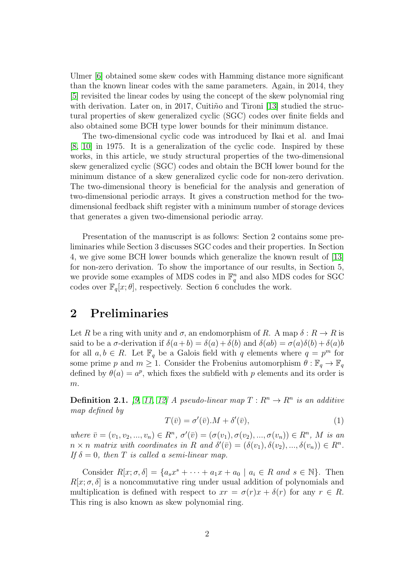Ulmer [\[6\]](#page-16-2) obtained some skew codes with Hamming distance more significant than the known linear codes with the same parameters. Again, in 2014, they [\[5\]](#page-16-3) revisited the linear codes by using the concept of the skew polynomial ring with derivation. Later on, in 2017, Cuiti $\tilde{n}$ o and Tironi [\[13\]](#page-16-4) studied the structural properties of skew generalized cyclic (SGC) codes over finite fields and also obtained some BCH type lower bounds for their minimum distance.

The two-dimensional cyclic code was introduced by Ikai et al. and Imai [\[8,](#page-16-5) [10\]](#page-16-6) in 1975. It is a generalization of the cyclic code. Inspired by these works, in this article, we study structural properties of the two-dimensional skew generalized cyclic (SGC) codes and obtain the BCH lower bound for the minimum distance of a skew generalized cyclic code for non-zero derivation. The two-dimensional theory is beneficial for the analysis and generation of two-dimensional periodic arrays. It gives a construction method for the twodimensional feedback shift register with a minimum number of storage devices that generates a given two-dimensional periodic array.

Presentation of the manuscript is as follows: Section 2 contains some preliminaries while Section 3 discusses SGC codes and their properties. In Section 4, we give some BCH lower bounds which generalize the known result of [\[13\]](#page-16-4) for non-zero derivation. To show the importance of our results, in Section 5, we provide some examples of MDS codes in  $\mathbb{F}_q^n$  and also MDS codes for SGC codes over  $\mathbb{F}_q[x;\theta]$ , respectively. Section 6 concludes the work.

#### 2 Preliminaries

Let R be a ring with unity and  $\sigma$ , an endomorphism of R. A map  $\delta: R \to R$  is said to be a  $\sigma$ -derivation if  $\delta(a+b) = \delta(a) + \delta(b)$  and  $\delta(ab) = \sigma(a)\delta(b) + \delta(a)b$ for all  $a, b \in R$ . Let  $\mathbb{F}_q$  be a Galois field with q elements where  $q = p^m$  for some prime p and  $m \geq 1$ . Consider the Frobenius automorphism  $\theta : \mathbb{F}_q \to \mathbb{F}_q$ defined by  $\theta(a) = a^p$ , which fixes the subfield with p elements and its order is  $\boldsymbol{m}.$ 

**Definition 2.1.** [\[9,](#page-16-7) [11,](#page-16-8) [12\]](#page-16-9) A pseudo-linear map  $T: R^n \to R^n$  is an additive map defined by

$$
T(\bar{v}) = \sigma'(\bar{v}).M + \delta'(\bar{v}),\tag{1}
$$

where  $\bar{v} = (v_1, v_2, ..., v_n) \in R^n$ ,  $\sigma'(\bar{v}) = (\sigma(v_1), \sigma(v_2), ..., \sigma(v_n)) \in R^n$ , M is an  $n \times n$  matrix with coordinates in R and  $\delta'(\bar{v}) = (\delta(v_1), \delta(v_2), ..., \delta(v_n)) \in R^n$ . If  $\delta = 0$ , then T is called a semi-linear map.

Consider  $R[x; \sigma, \delta] = \{a_s x^s + \cdots + a_1 x + a_0 \mid a_i \in R \text{ and } s \in \mathbb{N}\}.$  Then  $R[x; \sigma, \delta]$  is a noncommutative ring under usual addition of polynomials and multiplication is defined with respect to  $xr = \sigma(r)x + \delta(r)$  for any  $r \in R$ . This ring is also known as skew polynomial ring.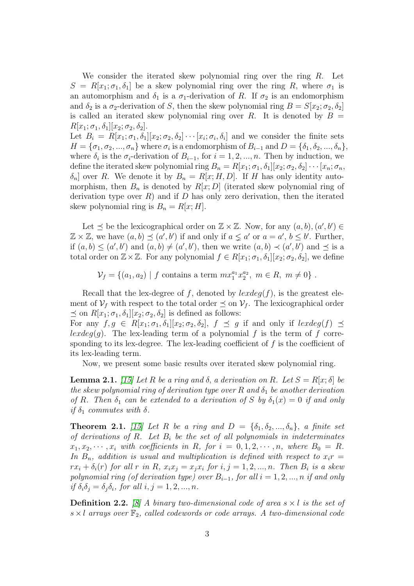We consider the iterated skew polynomial ring over the ring  $R$ . Let  $S = R[x_1; \sigma_1, \delta_1]$  be a skew polynomial ring over the ring R, where  $\sigma_1$  is an automorphism and  $\delta_1$  is a  $\sigma_1$ -derivation of R. If  $\sigma_2$  is an endomorphism and  $\delta_2$  is a  $\sigma_2$ -derivation of S, then the skew polynomial ring  $B = S[x_2; \sigma_2, \delta_2]$ is called an iterated skew polynomial ring over R. It is denoted by  $B =$  $R[x_1;\sigma_1,\delta_1][x_2;\sigma_2,\delta_2].$ 

Let  $B_i = R[x_1; \sigma_1, \delta_1][x_2; \sigma_2, \delta_2] \cdots [x_i; \sigma_i, \delta_i]$  and we consider the finite sets  $H = {\sigma_1, \sigma_2, ..., \sigma_n}$  where  $\sigma_i$  is a endomorphism of  $B_{i-1}$  and  $D = {\delta_1, \delta_2, ..., \delta_n}$ , where  $\delta_i$  is the  $\sigma_i$ -derivation of  $B_{i-1}$ , for  $i = 1, 2, ..., n$ . Then by induction, we define the iterated skew polynomial ring  $B_n = R[x_1; \sigma_1, \delta_1][x_2; \sigma_2, \delta_2] \cdots [x_n; \sigma_n,$  $\delta_n$  over R. We denote it by  $B_n = R[x; H, D]$ . If H has only identity automorphism, then  $B_n$  is denoted by  $R[x; D]$  (iterated skew polynomial ring of derivation type over  $R$ ) and if  $D$  has only zero derivation, then the iterated skew polynomial ring is  $B_n = R[x; H]$ .

Let  $\leq$  be the lexicographical order on  $\mathbb{Z} \times \mathbb{Z}$ . Now, for any  $(a, b), (a', b') \in$  $\mathbb{Z} \times \mathbb{Z}$ , we have  $(a, b) \preceq (a', b')$  if and only if  $a \leq a'$  or  $a = a', b \leq b'$ . Further, if  $(a, b) \leq (a', b')$  and  $(a, b) \neq (a', b')$ , then we write  $(a, b) \prec (a', b')$  and  $\preceq$  is a total order on  $\mathbb{Z}\times\mathbb{Z}$ . For any polynomial  $f \in R[x_1;\sigma_1,\delta_1][x_2;\sigma_2,\delta_2]$ , we define

 $\mathcal{V}_f = \{(a_1, a_2) \mid f \text{ contains a term } mx_1^{a_1}x_2^{a_2}\}$  $2^{a_2}, m \in R, m \neq 0$ .

Recall that the lex-degree of f, denoted by  $lexdeg(f)$ , is the greatest element of  $V_f$  with respect to the total order  $\preceq$  on  $V_f$ . The lexicographical order  $\preceq$  on  $R[x_1; \sigma_1, \delta_1][x_2; \sigma_2, \delta_2]$  is defined as follows:

For any  $f, g \in R[x_1; \sigma_1, \delta_1][x_2; \sigma_2, \delta_2], f \preceq g$  if and only if  $lexdeg(f) \preceq$  $lexdeg(q)$ . The lex-leading term of a polynomial f is the term of f corresponding to its lex-degree. The lex-leading coefficient of  $f$  is the coefficient of its lex-leading term.

Now, we present some basic results over iterated skew polynomial ring.

**Lemma 2.1.** [\[15\]](#page-16-10) Let R be a ring and  $\delta$ , a derivation on R. Let  $S = R[x; \delta]$  be the skew polynomial ring of derivation type over R and  $\delta_1$  be another derivation of R. Then  $\delta_1$  can be extended to a derivation of S by  $\delta_1(x) = 0$  if and only if  $\delta_1$  commutes with  $\delta$ .

**Theorem 2.1.** [\[15\]](#page-16-10) Let R be a ring and  $D = {\delta_1, \delta_2, ..., \delta_n}$ , a finite set of derivations of  $R$ . Let  $B_i$  be the set of all polynomials in indeterminates  $x_1, x_2, \dots, x_i$  with coefficients in R, for  $i = 0, 1, 2, \dots, n$ , where  $B_0 = R$ . In  $B_n$ , addition is usual and multiplication is defined with respect to  $x_i r =$  $rx_i + \delta_i(r)$  for all r in R,  $x_ix_j = x_jx_i$  for  $i, j = 1, 2, ..., n$ . Then  $B_i$  is a skew polynomial ring (of derivation type) over  $B_{i-1}$ , for all  $i = 1, 2, ..., n$  if and only if  $\delta_i \delta_j = \delta_j \delta_i$ , for all  $i, j = 1, 2, ..., n$ .

**Definition 2.2.** [\[8\]](#page-16-5) A binary two-dimensional code of area  $s \times l$  is the set of  $s \times l$  arrays over  $\mathbb{F}_2$ , called codewords or code arrays. A two-dimensional code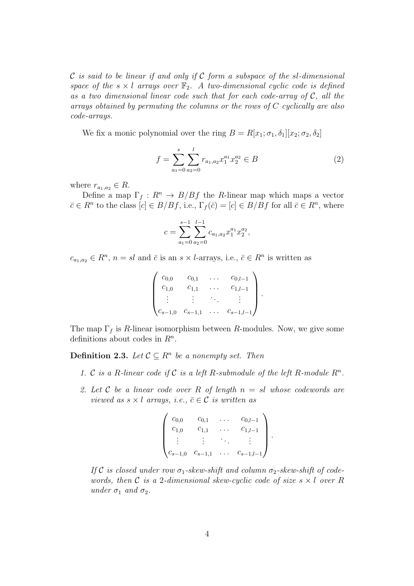$\mathcal C$  is said to be linear if and only if  $\mathcal C$  form a subspace of the sl-dimensional space of the  $s \times l$  arrays over  $\mathbb{F}_2$ . A two-dimensional cyclic code is defined as a two dimensional linear code such that for each code-array of  $C$ , all the arrays obtained by permuting the columns or the rows of C cyclically are also code-arrays.

We fix a monic polynomial over the ring  $B = R[x_1; \sigma_1, \delta_1][x_2; \sigma_2, \delta_2]$ 

$$
f = \sum_{a_1=0}^{s} \sum_{a_2=0}^{l} r_{a_1, a_2} x_1^{a_1} x_2^{a_2} \in B
$$
 (2)

where  $r_{a_1,a_2} \in R$ .

Define a map  $\Gamma_f : R^n \to B/Bf$  the R-linear map which maps a vector  $\bar{c} \in R^n$  to the class  $[c] \in B/Bf$ , i.e.,  $\Gamma_f(\bar{c}) = [c] \in B/Bf$  for all  $\bar{c} \in R^n$ , where

$$
c = \sum_{a_1=0}^{s-1} \sum_{a_2=0}^{l-1} c_{a_1,a_2} x_1^{a_1} x_2^{a_2},
$$

 $c_{a_1,a_2} \in \mathbb{R}^n$ ,  $n = sl$  and  $\bar{c}$  is an  $s \times l$ -arrays, i.e.,  $\bar{c} \in \mathbb{R}^n$  is written as

$$
\begin{pmatrix} c_{0,0} & c_{0,1} & \dots & c_{0,l-1} \\ c_{1,0} & c_{1,1} & \dots & c_{1,l-1} \\ \vdots & \vdots & \ddots & \vdots \\ c_{s-1,0} & c_{s-1,1} & \dots & c_{s-1,l-1} \end{pmatrix}.
$$

The map  $\Gamma_f$  is R-linear isomorphism between R-modules. Now, we give some definitions about codes in  $R^n$ .

**Definition 2.3.** Let  $\mathcal{C} \subseteq \mathbb{R}^n$  be a nonempty set. Then

- 1. C is a R-linear code if C is a left R-submodule of the left R-module  $R<sup>n</sup>$ .
- 2. Let C be a linear code over R of length  $n = sl$  whose codewords are viewed as  $s \times l$  arrays, i.e.,  $\bar{c} \in \mathcal{C}$  is written as

$$
\begin{pmatrix} c_{0,0} & c_{0,1} & \dots & c_{0,l-1} \\ c_{1,0} & c_{1,1} & \dots & c_{1,l-1} \\ \vdots & \vdots & \ddots & \vdots \\ c_{s-1,0} & c_{s-1,1} & \dots & c_{s-1,l-1} \end{pmatrix}.
$$

If C is closed under row  $\sigma_1$ -skew-shift and column  $\sigma_2$ -skew-shift of codewords, then C is a 2-dimensional skew-cyclic code of size  $s \times l$  over R under  $\sigma_1$  and  $\sigma_2$ .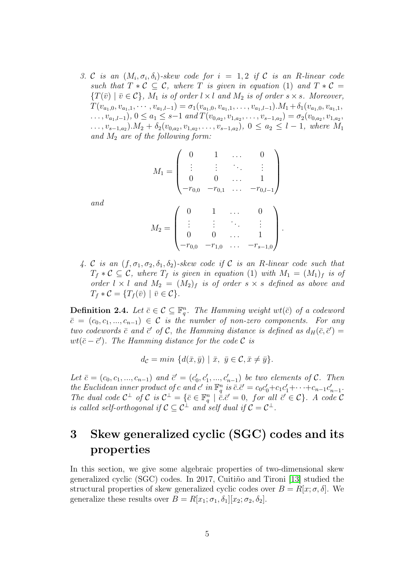3. C is an  $(M_i, \sigma_i, \delta_i)$ -skew code for  $i = 1, 2$  if C is an R-linear code such that  $T * C \subseteq C$ , where T is given in equation (1) and  $T * C =$  ${T(\bar{v}) \mid \bar{v} \in \mathcal{C}}$ ,  $M_1$  is of order  $l \times l$  and  $M_2$  is of order  $s \times s$ . Moreover,  $T(v_{a_1,0}, v_{a_1,1}, \cdots, v_{a_1,l-1}) = \sigma_1(v_{a_1,0}, v_{a_1,1}, \ldots, v_{a_1,l-1}).M_1 + \delta_1(v_{a_1,0}, v_{a_1,1},$  $\dots, v_{a_1,l-1}), 0 \le a_1 \le s-1 \ and \ T(v_{0,a_2}, v_{1,a_2}, \dots, v_{s-1,a_2}) = \sigma_2(v_{0,a_2}, v_{1,a_2}, \dots, v_{s-1,a_2})$  $\ldots, v_{s-1,a_2}$ ). $M_2 + \delta_2(v_{0,a_2}, v_{1,a_2}, \ldots, v_{s-1,a_2})$ ,  $0 \le a_2 \le l-1$ , where  $M_1$ and  $M_2$  are of the following form:

$$
M_1 = \begin{pmatrix} 0 & 1 & \dots & 0 \\ \vdots & \vdots & \ddots & \vdots \\ 0 & 0 & \dots & 1 \\ -r_{0,0} & -r_{0,1} & \dots & -r_{0,l-1} \end{pmatrix}
$$

$$
M_2 = \begin{pmatrix} 0 & 1 & \dots & 0 \\ \vdots & \vdots & \ddots & \vdots \\ 0 & 0 & \dots & 1 \\ -r_{0,0} & -r_{1,0} & \dots & -r_{s-1,0} \end{pmatrix}.
$$

and

4. C is an  $(f, \sigma_1, \sigma_2, \delta_1, \delta_2)$ -skew code if C is an R-linear code such that  $T_f * C \subseteq C$ , where  $T_f$  is given in equation (1) with  $M_1 = (M_1)_f$  is of order  $l \times l$  and  $M_2 = (M_2)_f$  is of order  $s \times s$  defined as above and  $T_f * C = \{T_f(\bar{v}) \mid \bar{v} \in C\}.$ 

**Definition 2.4.** Let  $\bar{c} \in \mathcal{C} \subseteq \mathbb{F}_q^n$ . The Hamming weight  $wt(\bar{c})$  of a codeword  $\bar{c} = (c_0, c_1, ..., c_{n-1}) \in \mathcal{C}$  is the number of non-zero components. For any two codewords  $\bar{c}$  and  $\bar{c}'$  of  $\mathcal{C}$ , the Hamming distance is defined as  $d_H(\bar{c}, \bar{c}') =$  $wt(\bar{c}-\bar{c}')$ . The Hamming distance for the code  $\mathcal C$  is

$$
d_{\mathcal{C}} = \min \{ d(\bar{x}, \bar{y}) \mid \bar{x}, \ \bar{y} \in \mathcal{C}, \bar{x} \neq \bar{y} \}.
$$

Let  $\bar{c} = (c_0, c_1, ..., c_{n-1})$  and  $\bar{c}' = (c'_0, c'_1, ..., c'_{n-1})$  be two elements of C. Then  $_0, \mathfrak{c}_1$ the Euclidean inner product of c and c' in  $\mathbb{F}_q^n$  is  $\bar{c} \cdot \bar{c}' = c_0 c'_0 + c_1 c'_1 + \cdots + c_{n-1} c'_{n-1}$ . The dual code  $C^{\perp}$  of C is  $C^{\perp} = \{\bar{c} \in \mathbb{F}_q^n \mid \bar{c} \cdot \bar{c}' = 0, \text{ for all } \bar{c}' \in C\}$ . A code C is called self-orthogonal if  $C \subseteq C^{\perp}$  and self dual if  $C = C^{\perp}$ .

### 3 Skew generalized cyclic (SGC) codes and its properties

In this section, we give some algebraic properties of two-dimensional skew generalized cyclic (SGC) codes. In 2017, Cuiti $\tilde{m}$ o and Tironi [\[13\]](#page-16-4) studied the structural properties of skew generalized cyclic codes over  $B = R[x; \sigma, \delta]$ . We generalize these results over  $B = R[x_1; \sigma_1, \delta_1][x_2; \sigma_2, \delta_2].$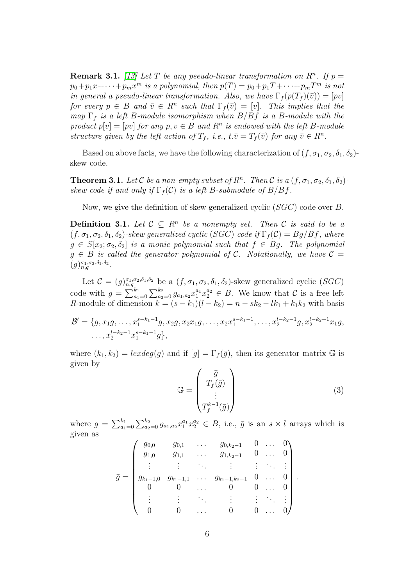**Remark 3.1.** [\[13\]](#page-16-4) Let T be any pseudo-linear transformation on  $R<sup>n</sup>$ . If  $p =$  $p_0 + p_1x + \cdots + p_mx^m$  is a polynomial, then  $p(T) = p_0 + p_1T + \cdots + p_mT^m$  is not in general a pseudo-linear transformation. Also, we have  $\Gamma_f(p(T_f)(\bar{v})) = [pv]$ for every  $p \in B$  and  $\overline{v} \in R^n$  such that  $\Gamma_f(\overline{v}) = [v]$ . This implies that the map  $\Gamma_f$  is a left B-module isomorphism when  $B/Bf$  is a B-module with the product  $p[v] = [pv]$  for any  $p, v \in B$  and  $R<sup>n</sup>$  is endowed with the left B-module structure given by the left action of  $T_f$ , i.e.,  $t.\bar{v} = T_f (\bar{v})$  for any  $\bar{v} \in R^n$ .

Based on above facts, we have the following characterization of  $(f, \sigma_1, \sigma_2, \delta_1, \delta_2)$ skew code.

**Theorem 3.1.** Let C be a non-empty subset of  $R^n$ . Then C is a  $(f, \sigma_1, \sigma_2, \delta_1, \delta_2)$ skew code if and only if  $\Gamma_f(\mathcal{C})$  is a left B-submodule of  $B/Bf$ .

Now, we give the definition of skew generalized cyclic (SGC) code over B.

**Definition 3.1.** Let  $C \subseteq R^n$  be a nonempty set. Then C is said to be a  $(f, \sigma_1, \sigma_2, \delta_1, \delta_2)$ -skew generalized cyclic (SGC) code if  $\Gamma_f(\mathcal{C}) = Bg/Bf$ , where  $g \in S[x_2; \sigma_2, \delta_2]$  is a monic polynomial such that  $f \in Bg$ . The polynomial  $g \in B$  is called the generator polynomial of C. Notationally, we have  $C =$  $(g)_{n,q}^{\sigma_1,\sigma_2,\delta_1,\delta_2}.$ 

Let  $\mathcal{C} = (g)_{n,q}^{\sigma_1,\sigma_2,\delta_1,\delta_2}$  be a  $(f,\sigma_1,\sigma_2,\delta_1,\delta_2)$ -skew generalized cyclic  $(SGC)$ code with  $g = \sum_{a_1=0}^{k_1} \sum_{a_2=0}^{k_2} g_{a_1,a_2} x_1^{a_1} x_2^{a_2} \in B$ . We know that C is a free left R-module of dimension  $k = (s - k_1)(l - k_2) = n - sk_2 - lk_1 + k_1k_2$  with basis

 $\mathcal{B}' = \{g, x_1g, \ldots, x_1^{s-k_1-1}\}$  $x_1^{s-k_1-1}g, x_2g, x_2x_1g, \ldots, x_2x_1^{s-k_1-1}$  $x_1^{s-k_1-1}, \ldots, x_2^{l-k_2-1}$  $a_2^{l-k_2-1}g, x_2^{l-k_2-1}x_1g,$  $\ldots, x_2^{l-k_2-1} x_1^{s-k_1-1}$  $_{1}^{s-k_{1}-1}g\},$ 

where  $(k_1, k_2) = lexdeg(q)$  and if  $[q] = \Gamma_f(\bar{q})$ , then its generator matrix  $\mathbb{G}$  is given by

$$
\mathbb{G} = \begin{pmatrix} \bar{g} \\ T_f(\bar{g}) \\ \vdots \\ T_f^{k-1}(\bar{g}) \end{pmatrix}
$$
 (3)

where  $g = \sum_{a_1=0}^{k_1} \sum_{a_2=0}^{k_2} g_{a_1,a_2} x_1^{a_1} x_2^{a_2} \in B$ , i.e.,  $\bar{g}$  is an  $s \times l$  arrays which is given as

$$
\bar{g} = \begin{pmatrix}\ng_{0,0} & g_{0,1} & \dots & g_{0,k_2-1} & 0 & \dots & 0 \\
g_{1,0} & g_{1,1} & \dots & g_{1,k_2-1} & 0 & \dots & 0 \\
\vdots & \vdots & \ddots & \vdots & \vdots & \ddots & \vdots \\
g_{k_1-1,0} & g_{k_1-1,1} & \dots & g_{k_1-1,k_2-1} & 0 & \dots & 0 \\
0 & 0 & \dots & 0 & 0 & \dots & 0 \\
\vdots & \vdots & \ddots & \vdots & \vdots & \ddots & \vdots \\
0 & 0 & \dots & 0 & 0 & \dots & 0\n\end{pmatrix}.
$$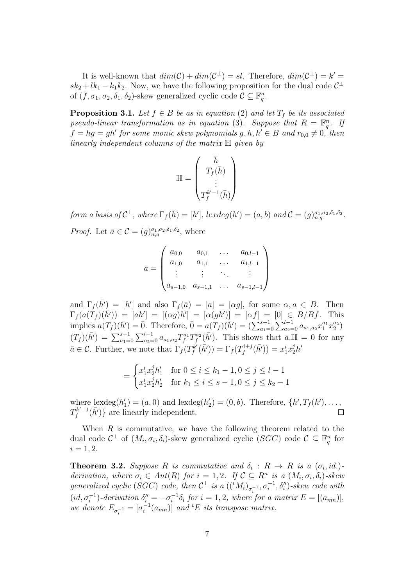It is well-known that  $dim(\mathcal{C}) + dim(\mathcal{C}^{\perp}) = sl$ . Therefore,  $dim(\mathcal{C}^{\perp}) = k' =$  $sk_2 + lk_1 - k_1k_2$ . Now, we have the following proposition for the dual code  $\mathcal{C}^{\perp}$ of  $(f, \sigma_1, \sigma_2, \delta_1, \delta_2)$ -skew generalized cyclic code  $\mathcal{C} \subseteq \mathbb{F}_q^n$ .

**Proposition 3.1.** Let  $f \in B$  be as in equation (2) and let  $T_f$  be its associated pseudo-linear transformation as in equation (3). Suppose that  $R = \mathbb{F}_q^n$ . If  $f = hg = gh'$  for some monic skew polynomials  $g, h, h' \in B$  and  $r_{0,0} \neq 0$ , then linearly independent columns of the matrix H given by

$$
\mathbb{H} = \begin{pmatrix} \bar{h} \\ T_f(\bar{h}) \\ \vdots \\ T_f^{k'-1}(\bar{h}) \end{pmatrix}
$$

form a basis of  $C^{\perp}$ , where  $\Gamma_f(\bar{h}) = [h']$ , lexdeg $(h') = (a, b)$  and  $C = (g)_{n,q}^{\sigma_1, \sigma_2, \delta_1, \delta_2}$ . *Proof.* Let  $\bar{a} \in \mathcal{C} = (g)_{n,q}^{\sigma_1, \sigma_2, \delta_1, \delta_2}$ , where

$$
\bar{a} = \begin{pmatrix} a_{0,0} & a_{0,1} & \dots & a_{0,l-1} \\ a_{1,0} & a_{1,1} & \dots & a_{1,l-1} \\ \vdots & \vdots & \ddots & \vdots \\ a_{s-1,0} & a_{s-1,1} & \dots & a_{s-1,l-1} \end{pmatrix}
$$

and  $\Gamma_f(\bar{h'}) = [h']$  and also  $\Gamma_f(\bar{a}) = [a] = [\alpha g]$ , for some  $\alpha, a \in B$ . Then  $\Gamma_f(a(T_f)(\bar{h}')) = [ah'] = [(\alpha g)h'] = [\alpha (gh')] = [\alpha f] = [0] \in B/Bf$ . This implies  $a(T_f)(\bar{h'}) = \bar{0}$ . Therefore,  $\bar{0} = a(T_f)(\bar{h'}) = (\sum_{a_1=0}^{s-1} \sum_{a_2=0}^{l-1} a_{a_1,a_2} x_1^{a_1} x_2^{a_2})$  $\binom{a_2}{2}$  $(T_f)(\bar{h'}) = \sum_{a_1=0}^{s-1} \sum_{a_2=0}^{l-1} a_{a_1,a_2} T_f^{a_1} T_f^{a_2}$  $f_a^{a_2}(\bar{h}')$ . This shows that  $\bar{a}$ . H = 0 for any  $\bar{a} \in \mathcal{C}$ . Further, we note that  $\Gamma_f(T_f^{k'}$  $\Gamma_f^{\dot{k'}}(\bar{h'})) = \Gamma_f(T_f^{i+j})$  $f^{i+j}(\bar{h'})) = x_1^i x_2^j h'$ 

$$
= \begin{cases} x_1^i x_2^j h_1' & \text{for } 0 \le i \le k_1 - 1, 0 \le j \le l - 1 \\ x_1^i x_2^j h_2' & \text{for } k_1 \le i \le s - 1, 0 \le j \le k_2 - 1 \end{cases}
$$

where  $\text{lexdeg}(h_1)$  $\binom{1}{1} = (a, 0)$  and lexdeg $(h_2)$  $Z_2'$  = (0, b). Therefore, { $\bar{h'}, T_f(\bar{h'}), ...,$  $T_f^{k'-1}(\bar{h'})\}$  are linearly independent.  $\Box$ 

When  $R$  is commutative, we have the following theorem related to the dual code  $C^{\perp}$  of  $(M_i, \sigma_i, \delta_i)$ -skew generalized cyclic  $(SGC)$  code  $C \subseteq \mathbb{F}_q^n$  for  $i = 1, 2.$ 

**Theorem 3.2.** Suppose R is commutative and  $\delta_i$ :  $R \rightarrow R$  is a  $(\sigma_i, id.)$ derivation, where  $\sigma_i \in Aut(R)$  for  $i = 1, 2$ . If  $\mathcal{C} \subseteq R^n$  is a  $(M_i, \sigma_i, \delta_i)$ -skew generalized cyclic (SGC) code, then  $C^{\perp}$  is a  $(({}^tM_i)_{\sigma_i^{-1}}, \sigma_i^{-1}, \delta_i'')$ -skew code with  $(id, \sigma_i^{-1})$ -derivation  $\delta_i'' = -\sigma_i^{-1}\delta_i$  for  $i = 1, 2$ , where for a matrix  $E = [(a_{mn})]$ , we denote  $E_{\sigma_i^{-1}} = [\sigma_i^{-1}(a_{mn})]$  and <sup>t</sup>E its transpose matrix.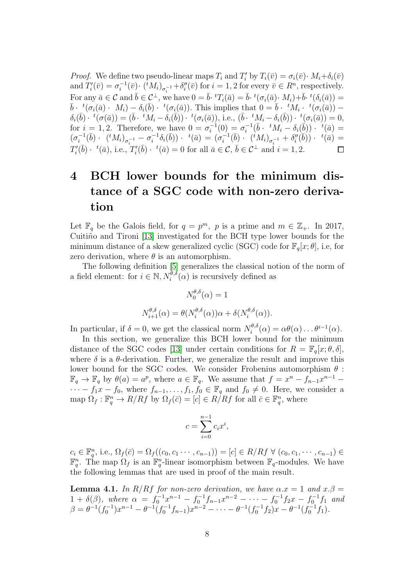*Proof.* We define two pseudo-linear maps  $T_i$  and  $T'_i$  by  $T_i(\bar{v}) = \sigma_i(\bar{v}) \cdot M_i + \delta_i(\bar{v})$ and  $\overline{T_i'}$  $\sigma_i^{\prime\prime}(\bar{v})=\sigma_i^{-1}(\bar{v})\cdotp(\overline{^t}M_i)_{\sigma_i^{-1}}{+}\delta_i^{\prime\prime}$  $i''(\bar{v})$  for  $i = 1, 2$  for every  $\bar{v} \in R^n$ , respectively. For any  $\bar{a} \in \mathcal{C}$  and  $\bar{b} \in \mathcal{C}^{\perp}$ , we have  $0 = \bar{b} \cdot {}^tT_i(\bar{a}) = \bar{b} \cdot {}^t(\sigma_i(\bar{a}) \cdot M_i) + \bar{b} \cdot {}^t(\delta_i(\bar{a})) =$  $\bar{b}$  ·  ${}^t(\sigma_i(\bar{a}) \cdot M_i) - \delta_i(\bar{b}) \cdot {}^t(\sigma_i(\bar{a}))$ . This implies that  $0 = \bar{b} \cdot {}^tM_i \cdot {}^t(\sigma_i(\bar{a}))$  - $\delta_i(\bar b)\cdot\ ^t(\sigma(\bar a))=(\bar b\cdot\ ^t\!M_i-\delta_i(\bar b))\cdot\ ^t(\sigma_i(\bar a)), \text{ i.e., }(\bar b\cdot\ ^t\!M_i-\delta_i(\bar b))\cdot\ ^t(\sigma_i(\bar a))=0,$ for  $i = 1, 2$ . Therefore, we have  $0 = \sigma_i^{-1}(0) = \sigma_i^{-1}(\bar{b} \cdot {}^tM_i - \delta_i(\bar{b})) \cdot {}^t(\bar{a}) =$  $(\sigma_i^{-1}(\bar{b}) \cdot (\,{}^t M_i)_{\sigma_i^{-1}} - \sigma_i^{-1} \delta_i(\bar{b})) \cdot (\,{}^t (\bar{a}) \, = \, (\sigma_i^{-1}(\bar{b}) \cdot (\,{}^t M_i)_{\sigma_i^{-1}} + \delta''_i)$  $\overline{f}'_i(\overline{b}))\cdot f(\overline{a})=$  $T_i'$  $\bar{f}'_i(\bar{b}) \cdot t(\bar{a}),$  i.e.,  $T'_i$  $\bar{b}'_i(\bar{b}) \cdot t(\bar{a}) = 0$  for all  $\bar{a} \in \mathcal{C}, \bar{b} \in \mathcal{C}^\perp$  and  $i = 1, 2$ .  $\Box$ 

## 4 BCH lower bounds for the minimum distance of a SGC code with non-zero derivation

Let  $\mathbb{F}_q$  be the Galois field, for  $q = p^m$ , p is a prime and  $m \in \mathbb{Z}_+$ . In 2017, Cuitiño and Tironi [\[13\]](#page-16-4) investigated for the BCH type lower bounds for the minimum distance of a skew generalized cyclic (SGC) code for  $\mathbb{F}_q[x;\theta]$ , i.e, for zero derivation, where  $\theta$  is an automorphism.

The following definition [\[5\]](#page-16-3) generalizes the classical notion of the norm of a field element: for  $i \in \mathbb{N}, N_i^{\theta, \delta}(\alpha)$  is recursively defined as

$$
N_0^{\theta,\delta}(\alpha) = 1
$$
  

$$
N_{i+1}^{\theta,\delta}(\alpha) = \theta(N_i^{\theta,\delta}(\alpha))\alpha + \delta(N_i^{\theta,\delta}(\alpha)).
$$

In particular, if  $\delta = 0$ , we get the classical norm  $N_i^{\theta, \delta}$  $i^{\theta,\delta}(\alpha) = \alpha \theta(\alpha) \dots \theta^{i-1}(\alpha).$ 

In this section, we generalize this BCH lower bound for the minimum distance of the SGC codes [\[13\]](#page-16-4) under certain conditions for  $R = \mathbb{F}_q[x; \theta, \delta],$ where  $\delta$  is a  $\theta$ -derivation. Further, we generalize the result and improve this lower bound for the SGC codes. We consider Frobenius automorphism  $\theta$ :  $\mathbb{F}_q \to \mathbb{F}_q$  by  $\theta(a) = a^p$ , where  $a \in \mathbb{F}_q$ . We assume that  $f = x^n - f_{n-1}x^{n-1}$  $\cdots - f_1x - f_0$ , where  $f_{n-1}, \ldots, f_1, f_0 \in \mathbb{F}_q$  and  $f_0 \neq 0$ . Here, we consider a map  $\Omega_f: \mathbb{F}_q^n \to R/Rf$  by  $\Omega_f(\bar{c}) = [c] \in R/Rf$  for all  $\bar{c} \in \mathbb{F}_q^n$ , where

$$
c = \sum_{i=0}^{n-1} c_i x^i,
$$

 $c_i \in \mathbb{F}_q^n$ , i.e.,  $\Omega_f(\bar{c}) = \Omega_f((c_0, c_1 \cdots, c_{n-1})) = [c] \in R/Rf \ \forall \ (c_0, c_1, \cdots, c_{n-1}) \in$  $\mathbb{F}_q^n$ . The map  $\Omega_f$  is an  $\mathbb{F}_q^n$ -linear isomorphism between  $\mathbb{F}_q$ -modules. We have the following lemmas that are used in proof of the main result.

<span id="page-7-0"></span>**Lemma 4.1.** In R/Rf for non-zero derivation, we have  $\alpha x = 1$  and  $x \cdot \beta =$  $1 + \delta(\beta)$ , where  $\alpha = f_0^{-1}x^{n-1} - f_0^{-1}f_{n-1}x^{n-2} - \cdots - f_0^{-1}f_2x - f_0^{-1}f_1$  and  $\beta = \theta^{-1}(f_0^{-1})x^{n-1} - \theta^{-1}(f_0^{-1}f_{n-1})x^{n-2} - \cdots - \theta^{-1}(f_0^{-1}f_2)x - \theta^{-1}(f_0^{-1}f_1).$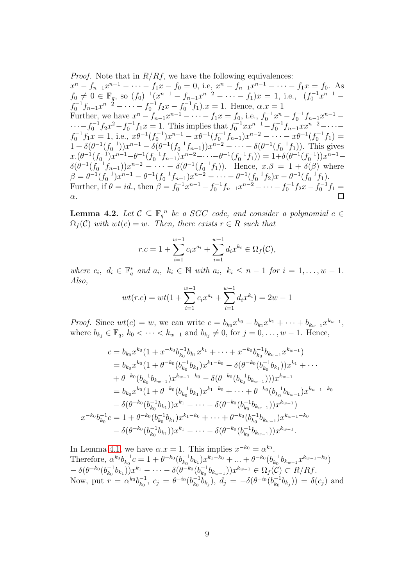*Proof.* Note that in  $R/Rf$ , we have the following equivalences:  $x^{n} - f_{n-1}x^{n-1} - \cdots - f_{1}x - f_{0} = 0$ , i.e,  $x^{n} - f_{n-1}x^{n-1} - \cdots - f_{1}x = f_{0}$ . As  $f_0 \neq 0 \in \mathbb{F}_q$ , so  $(f_0)^{-1}(x^{n-1} - f_{n-1}x^{n-2} - \cdots - f_1)x = 1$ , i.e.,  $(f_0^{-1}x^{n-1}$  $f_0^{-1}f_{n-1}x^{n-2} - \cdots - f_0^{-1}f_2x - f_0^{-1}f_1$ ).  $x = 1$ . Hence,  $\alpha x = 1$ Further, we have  $x^n - f_{n-1}x^{n-1} - \cdots - f_1x = f_0$ , i.e.,  $f_0^{-1}x^n - f_0^{-1}f_{n-1}x^{n-1} \cdots - f_0^{-1} f_2 x^2 - f_0^{-1} f_1 x = 1$ . This implies that  $f_0^{-1} x x^{n-1} - f_0^{-1} f_{n-1} x x^{n-2} - \cdots$  $f_0^{-1}f_1x = 1$ , i.e.,  $x\theta^{-1}(f_0^{-1})x^{n-1} - x\theta^{-1}(f_0^{-1}f_{n-1})x^{n-2} - \cdots - x\theta^{-1}(f_0^{-1}f_1) =$  $1 + \delta(\theta^{-1}(f_0^{-1}))x^{n-1} - \delta(\theta^{-1}(f_0^{-1}f_{n-1}))x^{n-2} - \cdots - \delta(\theta^{-1}(f_0^{-1}f_1)).$  This gives  $x \cdot (\theta^{-1}(f_0^{-1})x^{n-1} - \theta^{-1}(f_0^{-1}f_{n-1})x^{n-2} - \cdots - \theta^{-1}(f_0^{-1}f_1)) = 1 + \delta(\theta^{-1}(f_0^{-1}))x^{n-1} \delta(\theta^{-1}(\tilde{f}_0^{-1}\tilde{f}_{n-1}))x^{n-2} - \cdots - \delta(\theta^{-1}(f_0^{-1}f_1)).$  Hence,  $x.\beta = 1 + \delta(\beta)$  where  $\beta = \theta^{-1}(f_0^{-1})x^{n-1} - \theta^{-1}(f_0^{-1}f_{n-1})x^{n-2} - \cdots - \theta^{-1}(f_0^{-1}f_2)x - \theta^{-1}(f_0^{-1}f_1).$ Further, if  $\theta = id$ , then  $\beta = f_0^{-1}x^{n-1} - f_0^{-1}f_{n-1}x^{n-2} - \cdots - f_0^{-1}f_2x - f_0^{-1}f_1 =$ α.

<span id="page-8-0"></span>**Lemma 4.2.** Let  $C \subseteq \mathbb{F}_q^n$  be a SGC code, and consider a polynomial  $c \in$  $\Omega_f(\mathcal{C})$  with  $wt(c) = w$ . Then, there exists  $r \in R$  such that

$$
r.c = 1 + \sum_{i=1}^{w-1} c_i x^{a_i} + \sum_{i=1}^{w-1} d_i x^{k_i} \in \Omega_f(\mathcal{C}),
$$

where  $c_i, d_i \in \mathbb{F}_q^*$  and  $a_i, k_i \in \mathbb{N}$  with  $a_i, k_i \leq n-1$  for  $i = 1, \ldots, w-1$ . Also,

$$
wt(r.c) = wt(1 + \sum_{i=1}^{w-1} c_i x^{a_i} + \sum_{i=1}^{w-1} d_i x^{k_i}) = 2w - 1
$$

*Proof.* Since  $wt(c) = w$ , we can write  $c = b_{k_0}x^{k_0} + b_{k_1}x^{k_1} + \cdots + b_{k_{w-1}}x^{k_{w-1}},$ where  $b_{k_j} \in \mathbb{F}_q$ ,  $k_0 < \cdots < k_{w-1}$  and  $b_{k_j} \neq 0$ , for  $j = 0, \ldots, w-1$ . Hence,

$$
c = b_{k_0}x^{k_0}(1 + x^{-k_0}b_{k_0}^{-1}b_{k_1}x^{k_1} + \cdots + x^{-k_0}b_{k_0}^{-1}b_{k_{w-1}}x^{k_{w-1}})
$$
  
\n
$$
= b_{k_0}x^{k_0}(1 + \theta^{-k_0}(b_{k_0}^{-1}b_{k_1})x^{k_1-k_0} - \delta(\theta^{-k_0}(b_{k_0}^{-1}b_{k_1}))x^{k_1} + \cdots
$$
  
\n
$$
+ \theta^{-k_0}(b_{k_0}^{-1}b_{k_{w-1}})x^{k_{w-1}-k_0} - \delta(\theta^{-k_0}(b_{k_0}^{-1}b_{k_{w-1}})))x^{k_{w-1}}
$$
  
\n
$$
= b_{k_0}x^{k_0}(1 + \theta^{-k_0}(b_{k_0}^{-1}b_{k_1})x^{k_1-k_0} + \cdots + \theta^{-k_0}(b_{k_0}^{-1}b_{k_{w-1}})x^{k_{w-1}-k_0}
$$
  
\n
$$
- \delta(\theta^{-k_0}(b_{k_0}^{-1}b_{k_1}))x^{k_1} - \cdots - \delta(\theta^{-k_0}(b_{k_0}^{-1}b_{k_{w-1}}))x^{k_{w-1}})
$$
  
\n
$$
x^{-k_0}b_{k_0}^{-1}c = 1 + \theta^{-k_0}(b_{k_0}^{-1}b_{k_1})x^{k_1-k_0} + \cdots + \theta^{-k_0}(b_{k_0}^{-1}b_{k_{w-1}})x^{k_{w-1}-k_0}
$$
  
\n
$$
- \delta(\theta^{-k_0}(b_{k_0}^{-1}b_{k_1}))x^{k_1} - \cdots - \delta(\theta^{-k_0}(b_{k_0}^{-1}b_{k_{w-1}}))x^{k_{w-1}}.
$$

In Lemma [4.1,](#page-7-0) we have  $\alpha \cdot x = 1$ . This implies  $x^{-k_0} = \alpha^{k_0}$ . Therefore,  $\alpha^{k_0}b_{k_0}^{-1}$  $_{k_0}^{-1}c=1+\theta^{-k_0}(b_{k_0}^{-1})$  $\bar{k}_0^{-1}b_{k_1}$ ) $x^{k_1-k_0} + ... + \theta^{-k_0}(b_{k_0}^{-1})$  $\bar{k}_0^{-1} b_{k_{w-1}} x^{k_{w-1}-k_0}$  $-\delta(\theta^{-k_0} (b_{k_0}^{-1}$  $(\bar{k}_0^{-1} b_{k_1}) ) x^{k_1} - \cdots - \delta (\theta^{-k_0} (b_{k_0}^{-1})$  $_{k_{0}}^{-1}b_{k_{w-1}}$ )) $x^{k_{w-1}} \in \Omega_{f}(\mathcal{C}) \subset R/Rf.$ Now, put  $r = \alpha^{k_0} b_{k_0}^{-1}$  $\bar{b}_{k_0}^{-1},\ c_j\ =\ \theta^{-i_0}(b_{k_0}^{-1}% )+\ \theta^{-i_0}(b_{k_0}^{-1})\ \theta^{-i_0}(b_{k_0}^{-1})+\ \theta^{-i_0}(b_{k_0}^{-1})\ \theta^{-i_0}(b_{k_0}^{-1})$  $\bar{b}_{k_0}^{-1}b_{k_j}),\,\,d_j\,=\,-\delta(\theta^{-i_0}(b_{k_0}^{-1}))$  $(\bar{k}_0^{-1}b_{k_j})) = \delta(c_j)$  and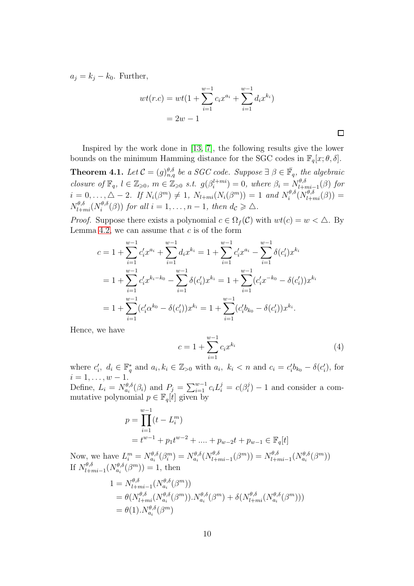$a_j = k_j - k_0$ . Further,

$$
wt(r.c) = wt(1 + \sum_{i=1}^{w-1} c_i x^{a_i} + \sum_{i=1}^{w-1} d_i x^{k_i})
$$
  
= 2w - 1

<span id="page-9-0"></span>Inspired by the work done in [\[13,](#page-16-4) [7\]](#page-16-0), the following results give the lower bounds on the minimum Hamming distance for the SGC codes in  $\mathbb{F}_q[x; \theta, \delta].$ **Theorem 4.1.** Let  $\mathcal{C} = (g)_{n,q}^{\theta,\delta}$  be a SGC code. Suppose  $\exists \beta \in \overline{\mathbb{F}}_q$ , the algebraic closure of  $\mathbb{F}_q$ ,  $l \in \mathbb{Z}_{\geqslant 0}$ ,  $m \in \mathbb{Z}_{\geqslant 0}$  s.t.  $g(\beta_i^{l+mi}) = 0$ , where  $\beta_i = N_{l+mi-1}^{\theta, \delta}(\beta)$  for

 $i=0,\ldots,\triangle-2$ . If  $N_i(\beta^m) \neq 1$ ,  $N_{l+mi}(N_i(\beta^m)) = 1$  and  $N_i^{\theta,\delta}$  $i^{\theta,\delta}(N_{l+mi}^{\theta,\delta}(\beta))=$  $N_{l+mi}^{\theta,\delta}(N_{i}^{\theta,\delta}% -1)\simeq N_{l+mi}^{\theta,\delta}$  $e^{i\theta,\delta}(\beta)$  for all  $i=1,\ldots,n-1$ , then  $d_{\mathcal{C}} \geqslant \triangle$ . *Proof.* Suppose there exists a polynomial  $c \in \Omega_f(\mathcal{C})$  with  $wt(c) = w < \triangle$ . By

Lemma [4.2,](#page-8-0) we can assume that  $c$  is of the form

$$
c = 1 + \sum_{i=1}^{w-1} c'_i x^{a_i} + \sum_{i=1}^{w-1} d_i x^{k_i} = 1 + \sum_{i=1}^{w-1} c'_i x^{a_i} - \sum_{i=1}^{w-1} \delta(c'_i) x^{k_i}
$$
  
=  $1 + \sum_{i=1}^{w-1} c'_i x^{k_i - k_0} - \sum_{i=1}^{w-1} \delta(c'_i) x^{k_i} = 1 + \sum_{i=1}^{w-1} (c'_i x^{-k_0} - \delta(c'_i)) x^{k_i}$   
=  $1 + \sum_{i=1}^{w-1} (c'_i \alpha^{k_0} - \delta(c'_i)) x^{k_i} = 1 + \sum_{i=1}^{w-1} (c'_i b_{k_0} - \delta(c'_i)) x^{k_i}.$ 

Hence, we have

$$
c = 1 + \sum_{i=1}^{w-1} c_i x^{k_i}
$$
 (4)

 $\Box$ 

where  $c_i'$  $d_i, d_i \in \mathbb{F}_q^*$ <sup>\*</sup><sub>q</sub> and  $a_i, k_i \in \mathbb{Z}_{>0}$  with  $a_i, k_i < n$  and  $c_i = c'_i$  $\delta'_{i}b_{k_0}-\delta(c'_{i})$  $'_{i}$ ), for  $i = 1, \ldots, w - 1$ Define,  $L_i = N_{a_i}^{\theta, \delta}(\beta_i)$  and  $P_j = \sum_{i=1}^{w-1} c_i L_i^j = c(\beta_i^j)$  $i^j$ ) – 1 and consider a commutative polynomial  $p \in \mathbb{F}_q[t]$  given by

$$
p = \prod_{i=1}^{w-1} (t - L_i^m)
$$
  
=  $t^{w-1} + p_1 t^{w-2} + \dots + p_{w-2} t + p_{w-1} \in \mathbb{F}_q[t]$ 

Now, we have  $L_i^m = N_{a_i}^{\theta,\delta}(\beta_i^m) = N_{a_i}^{\theta,\delta}(N_{l+mi-1}^{\theta,\delta}(\beta^m)) = N_{l+mi-1}^{\theta,\delta}(N_{a_i}^{\theta,\delta}(\beta^m))$ If  $N_{l+mi-1}^{\theta,\delta}(N_{a_i}^{\theta,\delta}(\beta^m)) = 1$ , then

$$
1 = N_{l+mi-1}^{\theta,\delta}(N_{a_i}^{\theta,\delta}(\beta^m))
$$
  
=  $\theta(N_{l+mi}^{\theta,\delta}(N_{a_i}^{\theta,\delta}(\beta^m)).N_{a_i}^{\theta,\delta}(\beta^m) + \delta(N_{l+mi}^{\theta,\delta}(N_{a_i}^{\theta,\delta}(\beta^m)))$   
=  $\theta(1).N_{a_i}^{\theta,\delta}(\beta^m)$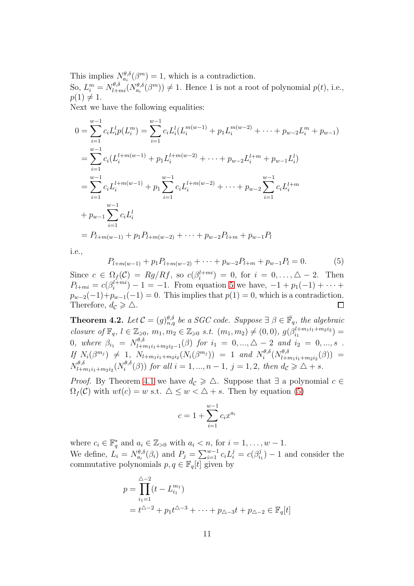This implies  $N_{a_i}^{\theta,\delta}(\beta^m) = 1$ , which is a contradiction.

So,  $L_i^m = N_{l+mi}^{\theta,\delta}(N_{a_i}^{\theta,\delta}(\beta^m)) \neq 1$ . Hence 1 is not a root of polynomial  $p(t)$ , i.e.,  $p(1) \neq 1.$ 

Next we have the following equalities:

$$
0 = \sum_{i=1}^{w-1} c_i L_i^l p(L_i^m) = \sum_{i=1}^{w-1} c_i L_i^l (L_i^{m(w-1)} + p_1 L_i^{m(w-2)} + \dots + p_{w-2} L_i^m + p_{w-1})
$$
  
\n
$$
= \sum_{i=1}^{w-1} c_i (L_i^{l+m(w-1)} + p_1 L_i^{l+m(w-2)} + \dots + p_{w-2} L_i^{l+m} + p_{w-1} L_i^l)
$$
  
\n
$$
= \sum_{i=1}^{w-1} c_i L_i^{l+m(w-1)} + p_1 \sum_{i=1}^{w-1} c_i L_i^{l+m(w-2)} + \dots + p_{w-2} \sum_{i=1}^{w-1} c_i L_i^{l+m}
$$
  
\n
$$
+ p_{w-1} \sum_{i=1}^{w-1} c_i L_i^l
$$
  
\n
$$
= P_{l+m(w-1)} + p_1 P_{l+m(w-2)} + \dots + p_{w-2} P_{l+m} + p_{w-1} P_l
$$

i.e.,

<span id="page-10-0"></span>
$$
P_{l+m(w-1)} + p_1 P_{l+m(w-2)} + \dots + p_{w-2} P_{l+m} + p_{w-1} P_l = 0.
$$
 (5)

Since  $c \in \Omega_f(\mathcal{C}) = Rg/Rf$ , so  $c(\beta_i^{l+mi}) = 0$ , for  $i = 0, ..., \triangle -2$ . Then  $P_{l+mi} = c(\beta_i^{l+mi}) - 1 = -1$ . From equation [5](#page-10-0) we have,  $-1 + p_1(-1) + \cdots$  $p_{w-2}(-1)+p_{w-1}(-1)=0$ . This implies that  $p(1)=0$ , which is a contradiction. Therefore,  $d_{\mathcal{C}} \geqslant \triangle$ .  $\Box$ 

<span id="page-10-1"></span>**Theorem 4.2.** Let  $\mathcal{C} = (g)_{n,q}^{\theta,\delta}$  be a SGC code. Suppose  $\exists \beta \in \overline{\mathbb{F}}_q$ , the algebraic closure of  $\mathbb{F}_q$ ,  $l \in \mathbb{Z}_{\geqslant 0}$ ,  $m_1, m_2 \in \mathbb{Z}_{\geqslant 0}$  s.t.  $(m_1, m_2) \neq (0, 0)$ ,  $g(\beta_{i_1}^{l+m_1i_1+m_2i_2})$  $\binom{l+m_1i_1+m_2i_2}{i_1} =$ 0, where  $\beta_{i_1} = N_{l+m_1i_1+m_2i_2-1}^{\theta,\delta}(\beta)$  for  $i_1 = 0, ..., \Delta - 2$  and  $i_2 = 0, ..., s$ . If  $N_i(\beta^{m_j}) \neq 1$ ,  $N_{l+m_1i_1+m_2i_2}(N_i(\beta^{m_j})) = 1$  and  $N_i^{\theta, \delta}$  $\epsilon_i^{\theta,\delta}(N_{l+i}^{\theta,\delta}$  $l+m_1i_1+m_2i_2(\beta)) =$  $N_{l+1}^{\theta,\delta}$  $\frac{\partial^l \theta_i \delta}{\partial l+m_1i_1+m_2i_2}(N^{\theta,\delta}_i)$  $i^{(\theta,\delta)}(\beta)$  for all  $i=1,...,n-1, j=1,2$ , then  $d_{\mathcal{C}} \geq \Delta + s$ .

*Proof.* By Theorem [4.1](#page-9-0) we have  $d_{\mathcal{C}} \geq \Delta$ . Suppose that  $\exists$  a polynomial  $c \in$  $\Omega_f(\mathcal{C})$  with  $wt(c) = w$  s.t.  $\Delta \leq w < \Delta + s$ . Then by equation [\(5\)](#page-10-0)

$$
c = 1 + \sum_{i=1}^{w-1} c_i x^{a_i}
$$

where  $c_i \in \mathbb{F}_q^*$  and  $a_i \in \mathbb{Z}_{>0}$  with  $a_i < n$ , for  $i = 1, \ldots, w - 1$ . q We define,  $L_i = N_{a_i}^{\theta, \delta}(\beta_i)$  and  $P_j = \sum_{i=1}^{w-1} c_i L_i^j = c(\beta_i^j)$  $i_1^j$ ) – 1 and consider the commutative polynomials  $p, q \in \mathbb{F}_q[t]$  given by

$$
p = \prod_{i_1=1}^{\Delta-2} (t - L_{i_1}^{m_1})
$$
  
=  $t^{\Delta-2} + p_1 t^{\Delta-3} + \dots + p_{\Delta-3} t + p_{\Delta-2} \in \mathbb{F}_q[t]$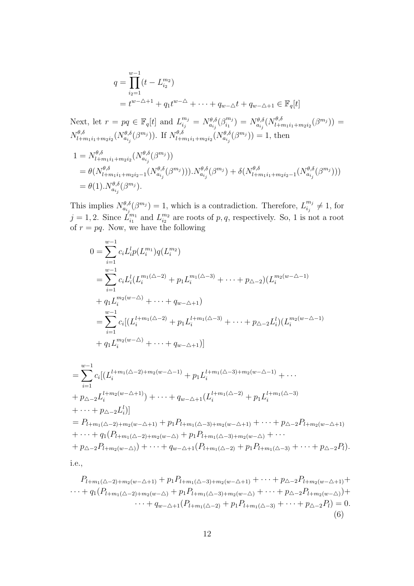$$
q = \prod_{i_2=1}^{w-1} (t - L_{i_2}^{m_2})
$$
  
=  $t^{w-\Delta+1} + q_1 t^{w-\Delta} + \dots + q_{w-\Delta} t + q_{w-\Delta+1} \in \mathbb{F}_q[t]$ 

Next, let  $r = pq \in \mathbb{F}_q[t]$  and  $L_{i_j}^{m_j} = N_{a_{i_j}}^{\theta, \delta}(\beta_{i_1}^{m_j})$  $\delta_{i_1}^{m_j})=N_{a_{i_j}}^{\theta,\delta}(N_{l+r}^{\theta,\delta}% )^{m_j}$  $\left( \begin{smallmatrix} \theta,\delta\ l+m_1i_1+m_2i_2 \end{smallmatrix} \left( \beta^{m_j} \right) \right) =$  $N_{l+1}^{\theta,\delta}$  $\frac{\partial^l \theta,\delta}{\partial l+m_1i_1+m_2i_2} (N^{\theta,\delta}_{a_{i_j}}(\beta^{m_j})).$  If  $N^{\theta,\delta}_{l+n_j}$  $\frac{\partial \theta, \delta}{\partial l + m_1 i_1 + m_2 i_2} (N_{a_{i_j}}^{\theta, \delta}(\beta^{m_j})) = 1$ , then  $1 = N_{l+1}^{\theta,\delta}$  $\frac{\partial^l \theta,\delta}{\partial l+m_1i_1+m_2i_2} (N^{\theta,\delta}_{a_{i_j}}(\beta^{m_j}))$  $_{\theta,\delta}$  $_{\theta,\delta}$  $_{\theta,\delta}$  $_{\theta,\delta}$ 

$$
= \theta(N_{l+m_1i_1+m_2i_2-1}^{\theta,\delta}(N_{a_{i_j}}^{\theta,\delta}(\beta^{m_j}))).N_{a_{i_j}}^{\theta,\delta}(\beta^{m_j}) + \delta(N_{l+m_1i_1+m_2i_2-1}^{\theta,\delta}(N_{a_{i_j}}^{\theta,\delta}(\beta^{m_j})))
$$
  
=  $\theta(1).N_{a_{i_j}}^{\theta,\delta}(\beta^{m_j}).$ 

This implies  $N_{a_{ij}}^{\theta,\delta}(\beta^{m_j}) = 1$ , which is a contradiction. Therefore,  $L_{i_j}^{m_j}$  $\frac{m_j}{i_j} \neq 1$ , for  $j = 1, 2$ . Since  $\hat{L}_{i_1}^{m_1}$  $\frac{m_1}{i_1}$  and  $L_{i_2}^{m_2}$  $\frac{m_2}{i_2}$  are roots of p, q, respectively. So, 1 is not a root of  $r = pq$ . Now, we have the following

$$
0 = \sum_{i=1}^{w-1} c_i L_i^l p(L_i^{m_1}) q(L_i^{m_2})
$$
  
\n
$$
= \sum_{i=1}^{w-1} c_i L_i^l (L_i^{m_1(\Delta - 2)} + p_1 L_i^{m_1(\Delta - 3)} + \dots + p_{\Delta - 2}) (L_i^{m_2(w - \Delta - 1)}
$$
  
\n
$$
+ q_1 L_i^{m_2(w - \Delta)} + \dots + q_{w - \Delta + 1})
$$
  
\n
$$
= \sum_{i=1}^{w-1} c_i [(L_i^{l+m_1(\Delta - 2)} + p_1 L_i^{l+m_1(\Delta - 3)} + \dots + p_{\Delta - 2} L_i^l) (L_i^{m_2(w - \Delta - 1)}
$$
  
\n
$$
+ q_1 L_i^{m_2(w - \Delta)} + \dots + q_{w - \Delta + 1})]
$$

$$
= \sum_{i=1}^{w-1} c_i [(L_i^{l+m_1(\Delta-2)+m_2(w-\Delta-1)} + p_1 L_i^{l+m_1(\Delta-3)+m_2(w-\Delta-1)} + \cdots + p_{\Delta-2} L_i^{l+m_2(w-\Delta+1)}) + \cdots + q_{w-\Delta+1} (L_i^{l+m_1(\Delta-2)} + p_1 L_i^{l+m_1(\Delta-3)} + \cdots + p_{\Delta-2} L_i^l)] = P_{l+m_1(\Delta-2)+m_2(w-\Delta+1)} + p_1 P_{l+m_1(\Delta-3)+m_2(w-\Delta+1)} + \cdots + p_{\Delta-2} P_{l+m_2(w-\Delta+1)} + \cdots + q_1 (P_{l+m_1(\Delta-2)+m_2(w-\Delta)} + p_1 P_{l+m_1(\Delta-3)+m_2(w-\Delta)} + \cdots + p_{\Delta-2} P_{l+m_2(w-\Delta)} + \cdots + q_{w-\Delta+1} (P_{l+m_1(\Delta-2)} + p_1 P_{l+m_1(\Delta-3)} + \cdots + p_{\Delta-2} P_l).
$$
  
i.e.,

$$
P_{l+m_1(\triangle-2)+m_2(w-\triangle+1)} + p_1 P_{l+m_1(\triangle-3)+m_2(w-\triangle+1)} + \cdots + p_{\triangle-2} P_{l+m_2(w-\triangle+1)} + \cdots + q_1 (P_{l+m_1(\triangle-2)+m_2(w-\triangle)} + p_1 P_{l+m_1(\triangle-3)+m_2(w-\triangle)} + \cdots + p_{\triangle-2} P_{l+m_2(w-\triangle)} + \cdots + q_{w-\triangle+1} (P_{l+m_1(\triangle-2)} + p_1 P_{l+m_1(\triangle-3)} + \cdots + p_{\triangle-2} P_l) = 0.
$$
\n(6)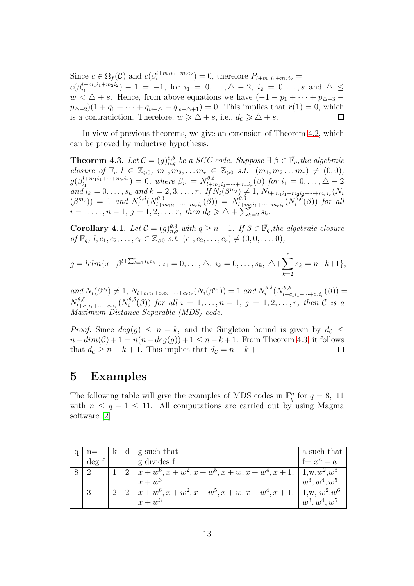Since  $c \in \Omega_f(\mathcal{C})$  and  $c(\beta_{i_1}^{l+m_1i_1+m_2i_2})$  $i_1^{(l+m_1i_1+m_2i_2})=0$ , therefore  $P_{l+m_1i_1+m_2i_2}=0$  $c(\beta_{i_1}^{l+m_1i_1+m_2i_2})$  $\binom{i+m_1i_1+m_2i_2}{i_1}-1 = -1$ , for  $i_1 = 0, \ldots, \triangle-2$ ,  $i_2 = 0, \ldots, s$  and  $\triangle \leq$  $w < \Delta + s$ . Hence, from above equations we have  $(-1 - p_1 + \cdots + p_{\Delta-3}$  $p_{\Delta-2}(1+q_1+\cdots+q_{w-\Delta}-q_{w-\Delta+1})=0$ . This implies that  $r(1)=0$ , which is a contradiction. Therefore,  $w \geq \Delta + s$ , i.e.,  $d_{\mathcal{C}} \geq \Delta + s$ .  $\Box$ 

In view of previous theorems, we give an extension of Theorem [4.2,](#page-10-1) which can be proved by inductive hypothesis.

<span id="page-12-0"></span>**Theorem 4.3.** Let  $\mathcal{C} = (g)_{n,q}^{\theta,\delta}$  be a SGC code. Suppose  $\exists \beta \in \mathbb{F}_q$ , the algebraic closure of  $\mathbb{F}_q$   $l \in \mathbb{Z}_{\geqslant 0}, m_1, m_2, \ldots m_r \in \mathbb{Z}_{\geqslant 0}$  s.t.  $(m_1, m_2 \ldots m_r) \neq (0, 0),$  $g(\beta_{i_1}^{l+m_1i_1+\cdots+m_ri_r})=0,$  where  $\beta_{i_1}=N_{l+m_1i_1+\cdots+m_ri_r}^{\theta,\delta}(\beta)$  for  $i_1=0,\ldots,\Delta-2$ and  $i_k = 0, \ldots, s_k$  and  $k = 2, 3, \ldots, r$ . If  $N_i(\beta^{m_j}) \neq 1, N_{l+m_1i_1+m_2i_2+\cdots+m_ri_r}(N_i)$  $(\beta^{m_j})$  = 1 and  $N_i^{\theta,\delta}$  $\delta_{i}^{\theta,\delta}(N_{l+m_1i_1+\cdots+m_{r}i_{r}}^{\theta,\delta}(\beta))\ =\ N_{l+m_1i_1+\cdots+m_{r}i_{r}}^{\theta,\delta}(N_{i}^{\theta,\delta})$  $i^{0,0}(\beta)$  for all  $i = 1, \ldots, n - 1, j = 1, 2, \ldots, r, \text{ then } d_{\mathcal{C}} \geq \Delta + \sum_{k=2}^{n} s_k.$ 

Corollary 4.1. Let  $C = (g)_{n,q}^{\theta,\delta}$  with  $q \geq n+1$ . If  $\beta \in \bar{\mathbb{F}}_q$ , the algebraic closure of  $\mathbb{F}_q$ ;  $l, c_1, c_2, \ldots, c_r \in \mathbb{Z}_{\geq 0}$  s.t.  $(c_1, c_2, \ldots, c_r) \neq (0, 0, \ldots, 0),$ 

$$
g = lclm\{x - \beta^{l+\sum_{k=1}^{r} i_k c_k} : i_1 = 0, \ldots, \Delta, i_k = 0, \ldots, s_k, \Delta + \sum_{k=2}^{r} s_k = n-k+1\},\
$$

and  $N_i(\beta^{c_j}) \neq 1$ ,  $N_{l+c_1i_1+c_2i_2+\cdots+c_{r}i_{r}}(N_i(\beta^{c_j})) = 1$  and  $N_i^{\theta, \delta}$  $i^{\theta,\delta}(N_{l+c_1i_1+\cdots+c_{r}i_{r}}^{\theta,\delta}(\beta))=$  $N_{l+c_1i_1+\cdots+c_{r}i_{r}}^{\theta,\delta}(N_{i}^{\theta,\delta})$  $e^{i\theta,\theta}(\beta)$  for all  $i=1,\ldots,n-1, j=1,2,\ldots,r$ , then C is a Maximum Distance Separable (MDS) code.

*Proof.* Since  $deg(g) \leq n - k$ , and the Singleton bound is given by  $d_c \leq$  $n-dim(\mathcal{C})+1=n(n-deg(g))+1\leq n-k+1$ . From Theorem [4.3,](#page-12-0) it follows that  $d_{\mathcal{C}} \geq n - k + 1$ . This implies that  $d_{\mathcal{C}} = n - k + 1$ □

#### 5 Examples

The following table will give the examples of MDS codes in  $\mathbb{F}_q^n$  for  $q = 8$ , 11 with  $n \leq q - 1 \leq 11$ . All computations are carried out by using Magma software [\[2\]](#page-15-1).

| $n =$  | K | d g such that                                                          | a such that     |
|--------|---|------------------------------------------------------------------------|-----------------|
| $\deg$ |   | g divides f                                                            | $f = x^n - a$   |
|        |   | 2   $x + w^6, x + w^2, x + w^5, x + w, x + w^4, x + 1, 1, w, w^2, w^6$ |                 |
|        |   | $x + w^3$                                                              | $w^3, w^4, w^5$ |
| 3      |   | $\left[x+w^6, x+w^2, x+w^5, x+w, x+w^4, x+1, \right]$ 1,w, $w^2, w^6$  |                 |
|        |   | $x + w^3$                                                              | $w^3, w^4, w^5$ |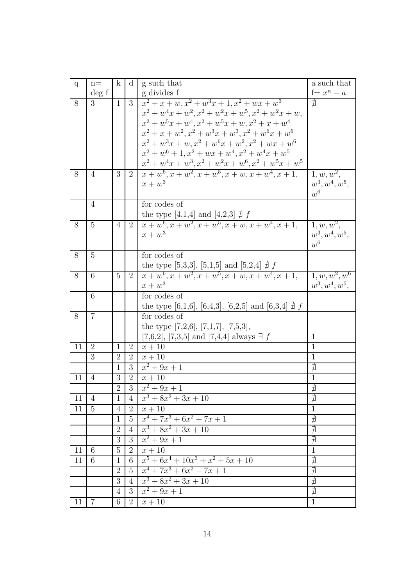| $\mathbf{q}$ | $n =$          | $\mathbf{k}$   | $\mathbf d$    | g such that                                                                                                 | a such that      |
|--------------|----------------|----------------|----------------|-------------------------------------------------------------------------------------------------------------|------------------|
|              | deg f          |                |                | g divides f                                                                                                 | $f = x^n - a$    |
| 8            | 3              | $\mathbf{1}$   | 3              | $x^2 + x + w, x^2 + w^3x + 1, x^2 + wx + w^3$                                                               | ∄                |
|              |                |                |                | $x^2 + w^4x + w^2, x^2 + w^2x + w^5, x^2 + w^2x + w,$                                                       |                  |
|              |                |                |                | $x^{2} + w^{5}x + w^{4}, x^{2} + w^{5}x + w, x^{2} + x + w^{4}$                                             |                  |
|              |                |                |                | $x^{2} + x + w^{2}, x^{2} + w^{3}x + w^{3}, x^{2} + w^{6}x + w^{6}$                                         |                  |
|              |                |                |                | $x^{2} + w^{3}x + w, x^{2} + w^{6}x + w^{2}, x^{2} + wx + w^{6}$                                            |                  |
|              |                |                |                | $x^2 + w^6 + 1$ , $x^2 + wx + w^4$ , $x^2 + w^4x + w^5$                                                     |                  |
|              |                |                |                | $x^{2} + w^{4}x + w^{3}, x^{2} + w^{2}x + w^{6}, x^{2} + w^{5}x + w^{5}$                                    |                  |
| 8            | $\overline{4}$ | 3              | 2              | $x + w^6, x + w^2, x + w^5, x + w, x + w^4, x + 1,$                                                         | $1, w, w^2$ ,    |
|              |                |                |                | $x + w^3$                                                                                                   | $w^3, w^4, w^5,$ |
|              |                |                |                |                                                                                                             | $w^6$            |
|              | $\overline{4}$ |                |                | for codes of                                                                                                |                  |
|              |                |                |                | the type [4,1,4] and [4,2,3] $\sharp f$<br>$x + w^6, x + w^2, x + w^5, x + w, x + w^4, x + 1,$              |                  |
| 8            | $\overline{5}$ | $\overline{4}$ | 2              |                                                                                                             | $1, w, w^2$ ,    |
|              |                |                |                | $x + w^3$                                                                                                   | $w^3, w^4, w^5,$ |
|              |                |                |                |                                                                                                             | $w^6$            |
| 8            | $\overline{5}$ |                |                | for codes of                                                                                                |                  |
|              |                |                |                | the type [5,3,3], [5,1,5] and [5,2,4] $\frac{\nexists f}{x + w^6, x + w^2, x + w^5, x + w, x + w^4, x + 1,$ |                  |
| 8            | 6              | 5              | $\overline{2}$ |                                                                                                             | $1, w, w^2, w^6$ |
|              |                |                |                | $x + w^3$                                                                                                   | $w^3, w^4, w^5,$ |
|              | 6              |                |                | for codes of                                                                                                |                  |
|              |                |                |                | the type [6,1,6], [6,4,3], [6,2,5] and [6,3,4] $\sharp$ f                                                   |                  |
| 8            | 7              |                |                | for codes of                                                                                                |                  |
|              |                |                |                | the type $[7,2,6]$ , $[7,1,7]$ , $[7,5,3]$ ,                                                                |                  |
|              |                |                |                | [7,6,2], [7,3,5] and [7,4,4] always $\exists f$                                                             | $\mathbf{1}$     |
| 11           | $\overline{2}$ | $\mathbf{1}$   | $\overline{2}$ | $x+10$                                                                                                      | $\mathbf{1}$     |
|              | $\overline{3}$ | $\overline{2}$ | $\overline{2}$ | $x+10$                                                                                                      | $\mathbf{1}$     |
|              |                | $\mathbf{1}$   | 3              | $x^2 + 9x + 1$                                                                                              | ∄                |
| 11           | $\overline{4}$ | 3              | $\overline{2}$ | $x+10$                                                                                                      | $\overline{1}$   |
|              |                | $\overline{2}$ | 3              | $x^2 + 9x + 1$                                                                                              | $\nexists$       |
| 11           | $\overline{4}$ | $\overline{1}$ | $\overline{4}$ | $x^3 + 8x^2 + 3x + 10$                                                                                      | ∄                |
| 11           | $\overline{5}$ | $\overline{4}$ | $\overline{2}$ | $x+10$                                                                                                      | $\overline{1}$   |
|              |                | $\mathbf{1}$   | $\overline{5}$ | $x^4 + 7x^3 + 6x^2 + 7x + 1$                                                                                |                  |
|              |                | $\overline{2}$ | $\overline{4}$ | $x^3 + 8x^2 + 3x + 10$                                                                                      | 力力力              |
|              |                | 3              | $\overline{3}$ | $x^2 + 9x + 1$                                                                                              |                  |
| 11           | 6              | $\overline{5}$ | $\overline{2}$ | $x+10$                                                                                                      | $\overline{1}$   |
| 11           | $\overline{6}$ | $\mathbf{1}$   | $\overline{6}$ | $x^5 + 6x^4 + 10x^3 + x^2 + 5x + 10$                                                                        | 电电子              |
|              |                | $\overline{2}$ | $\overline{5}$ | $x^4 + 7x^3 + 6x^2 + 7x + 1$                                                                                |                  |
|              |                | $\overline{3}$ | $\overline{4}$ | $x^3 + 8x^2 + 3x + 10$                                                                                      |                  |
|              |                | $\overline{4}$ | 3              | $x^2 + 9x + 1$                                                                                              |                  |
| 11           | $\overline{7}$ | 6              | $\overline{2}$ | $x+10$                                                                                                      | $\overline{1}$   |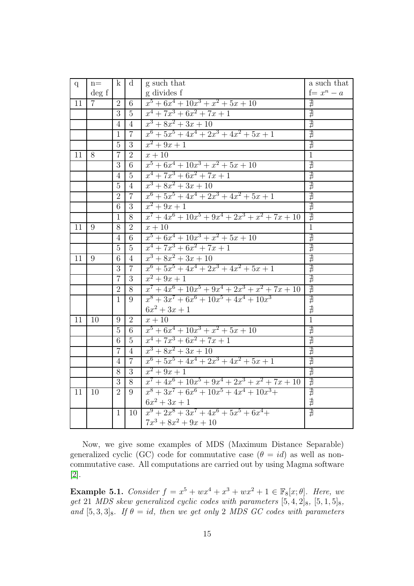| $\mathbf{q}$ | $n =$          | $\mathbf{k}$   | d              | g such that                                        | a such that           |
|--------------|----------------|----------------|----------------|----------------------------------------------------|-----------------------|
|              | $\deg f$       |                |                | g divides f                                        | $f = x^n - a$         |
| 11           | 7 <sup>1</sup> | $\overline{2}$ | 6              | $x^5 + 6x^4 + 10x^3 + x^2 + 5x + 10$               | ∄                     |
|              |                | 3              | $\overline{5}$ | $x^4 + 7x^3 + 6x^2 + 7x + 1$                       | ∄                     |
|              |                | $\overline{4}$ | $\overline{4}$ | $x^3 + 8x^2 + 3x + 10$                             | ∄                     |
|              |                | $\mathbf{1}$   | $\overline{7}$ | $x^6 + 5x^5 + 4x^4 + 2x^3 + 4x^2 + 5x + 1$         | ∄                     |
|              |                | 5              | 3              | $x^2 + 9x + 1$                                     | $\nexists$            |
| 11           | 8              | $\overline{7}$ | $\overline{2}$ | $x+10$                                             | $\overline{1}$        |
|              |                | 3              | 6              | $x^5 + 6x^4 + 10x^3 + x^2 + 5x + 10$               | ∄                     |
|              |                | $\overline{4}$ | 5              | $x^4 + 7x^3 + 6x^2 + 7x + 1$                       | 力力                    |
|              |                | 5              | $\overline{4}$ | $x^3 + 8x^2 + 3x + 10$                             |                       |
|              |                | $\overline{2}$ | $\overline{7}$ | $x^6 + 5x^5 + 4x^4 + 2x^3 + 4x^2 + 5x + 1$         | $\overline{\nexists}$ |
|              |                | 6              | 3              | $x^2 + 9x + 1$                                     | ∄                     |
|              |                | $\mathbf{1}$   | 8              | $x^7 + 4x^6 + 10x^5 + 9x^4 + 2x^3 + x^2 + 7x + 10$ | ∄                     |
| 11           | 9              | $\overline{8}$ | $\overline{2}$ | $x+10$                                             | $\overline{1}$        |
|              |                | $\overline{4}$ | 6              | $x^5 + 6x^4 + 10x^3 + x^2 + 5x + 10$               | ∄                     |
|              |                | 5              | $\overline{5}$ | $x^4 + 7x^3 + 6x^2 + 7x + 1$                       | $\overline{\nexists}$ |
| 11           | 9              | 6              | $\overline{4}$ | $x^3 + 8x^2 + 3x + 10$                             | $\nexists$            |
|              |                | 3              | $\overline{7}$ | $x^6 + 5x^5 + 4x^4 + 2x^3 + 4x^2 + 5x + 1$         | ∄                     |
|              |                | $\overline{7}$ | $\overline{3}$ | $x^2 + 9x + 1$                                     | 力力                    |
|              |                | $\overline{2}$ | 8              | $x^7 + 4x^6 + 10x^5 + 9x^4 + 2x^3 + x^2 + 7x + 10$ |                       |
|              |                | $\mathbf{1}$   | 9              | $x^8 + 3x^7 + 6x^6 + 10x^5 + 4x^4 + 10x^3$         | 力力                    |
|              |                |                |                | $6x^2 + 3x + 1$                                    |                       |
| 11           | 10             | 9              | $\overline{2}$ | $x+10$                                             | $\overline{1}$        |
|              |                | 5              | 6              | $x^5 + 6x^4 + 10x^3 + x^2 + 5x + 10$               | ∄                     |
|              |                | 6              | 5              | $x^4 + 7x^3 + 6x^2 + 7x + 1$                       | ∄                     |
|              |                | $\overline{7}$ | 4              | $x^3 + 8x^2 + 3x + 10$                             | $\nexists$            |
|              |                | $\overline{4}$ | $\overline{7}$ | $x^6 + 5x^5 + 4x^4 + 2x^3 + 4x^2 + 5x + 1$         | $\nexists$            |
|              |                | 8              | 3              | $x^2 + 9x + 1$                                     | ∄                     |
|              |                | 3              | 8              | $x^7 + 4x^6 + 10x^5 + 9x^4 + 2x^3 + x^2 + 7x + 10$ |                       |
| 11           | 10             | $\overline{2}$ | 9              | $x^8 + 3x^7 + 6x^6 + 10x^5 + 4x^4 + 10x^3 +$       | 力力力                   |
|              |                |                |                | $6x^2 + 3x + 1$                                    |                       |
|              |                | 1              | 10             | $x^9 + 2x^8 + 3x^7 + 4x^6 + 5x^5 + 6x^4 +$         | $\overline{\sharp}$   |
|              |                |                |                | $7x^3 + 8x^2 + 9x + 10$                            |                       |

Now, we give some examples of MDS (Maximum Distance Separable) generalized cyclic (GC) code for commutative case  $(\theta = id)$  as well as noncommutative case. All computations are carried out by using Magma software [\[2\]](#page-15-1).

**Example 5.1.** Consider  $f = x^5 + wx^4 + x^3 + wx^2 + 1 \in \mathbb{F}_{8}[x; \theta]$ . Here, we get 21 MDS skew generalized cyclic codes with parameters  $[5, 4, 2]_8$ ,  $[5, 1, 5]_8$ , and  $[5, 3, 3]_8$ . If  $\theta = id$ , then we get only 2 MDS GC codes with parameters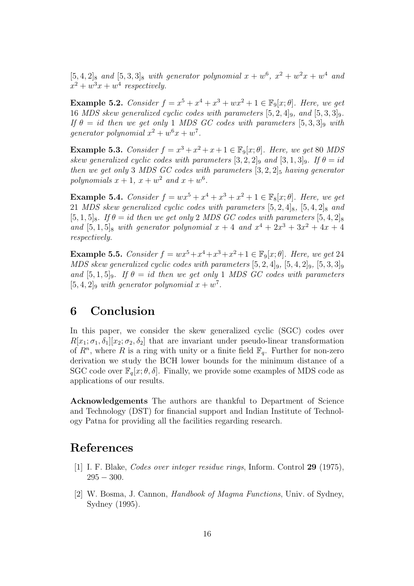$[5, 4, 2]_8$  and  $[5, 3, 3]_8$  with generator polynomial  $x + w^6$ ,  $x^2 + w^2x + w^4$  and  $x^2 + w^3x + w^4$  respectively.

**Example 5.2.** Consider  $f = x^5 + x^4 + x^3 + wx^2 + 1 \in \mathbb{F}_9[x; \theta]$ . Here, we get 16 MDS skew generalized cyclic codes with parameters  $[5, 2, 4]_9$ , and  $[5, 3, 3]_9$ . If  $\theta = id$  then we get only 1 MDS GC codes with parameters  $[5, 3, 3]_9$  with generator polynomial  $x^2 + w^6x + w^7$ .

**Example 5.3.** Consider  $f = x^3 + x^2 + x + 1 \in \mathbb{F}_9[x; \theta]$ . Here, we get 80 MDS skew generalized cyclic codes with parameters  $[3, 2, 2]_9$  and  $[3, 1, 3]_9$ . If  $\theta = id$ then we get only 3 MDS GC codes with parameters  $[3, 2, 2]_5$  having generator polynomials  $x + 1$ ,  $x + w^2$  and  $x + w^6$ .

**Example 5.4.** Consider  $f = wx^5 + x^4 + x^3 + x^2 + 1 \in \mathbb{F}_8[x; \theta]$ . Here, we get 21 MDS skew generalized cyclic codes with parameters  $[5, 2, 4]_8$ ,  $[5, 4, 2]_8$  and  $[5, 1, 5]_8$ . If  $\theta = id$  then we get only 2 MDS GC codes with parameters  $[5, 4, 2]_8$ and  $[5, 1, 5]_8$  with generator polynomial  $x + 4$  and  $x^4 + 2x^3 + 3x^2 + 4x + 4$ respectively.

**Example 5.5.** Consider  $f = wx^5 + x^4 + x^3 + x^2 + 1 \in \mathbb{F}_9[x; \theta]$ . Here, we get 24 MDS skew generalized cyclic codes with parameters  $[5, 2, 4]_9$ ,  $[5, 4, 2]_9$ ,  $[5, 3, 3]_9$ and  $[5, 1, 5]_9$ . If  $\theta = id$  then we get only 1 MDS GC codes with parameters  $[5, 4, 2]$ <sup>9</sup> with generator polynomial  $x + w^7$ .

### 6 Conclusion

In this paper, we consider the skew generalized cyclic (SGC) codes over  $R[x_1;\sigma_1,\delta_1][x_2;\sigma_2,\delta_2]$  that are invariant under pseudo-linear transformation of  $R^n$ , where R is a ring with unity or a finite field  $\mathbb{F}_q$ . Further for non-zero derivation we study the BCH lower bounds for the minimum distance of a SGC code over  $\mathbb{F}_q[x; \theta, \delta]$ . Finally, we provide some examples of MDS code as applications of our results.

Acknowledgements The authors are thankful to Department of Science and Technology (DST) for financial support and Indian Institute of Technology Patna for providing all the facilities regarding research.

### <span id="page-15-0"></span>References

- <span id="page-15-1"></span>[1] I. F. Blake, Codes over integer residue rings, Inform. Control 29 (1975),  $295 - 300.$
- [2] W. Bosma, J. Cannon, Handbook of Magma Functions, Univ. of Sydney, Sydney (1995).